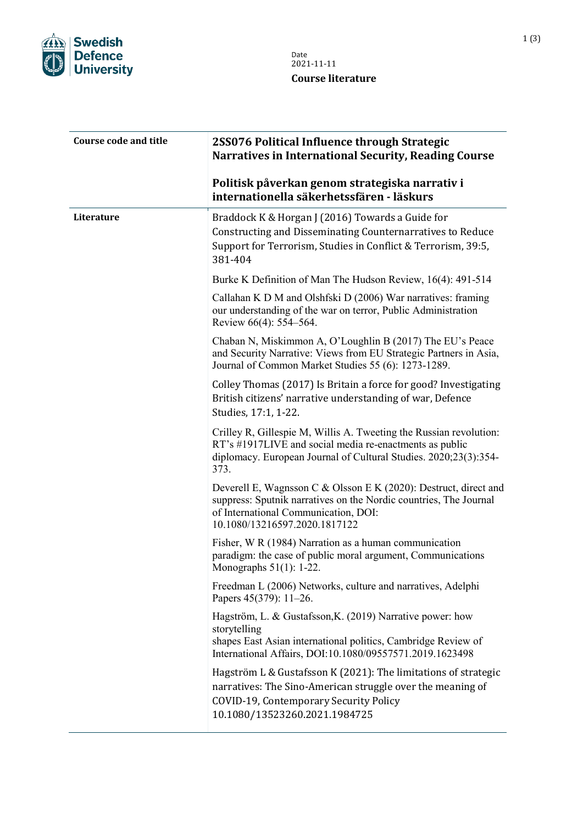

| <b>Course code and title</b> | 2SS076 Political Influence through Strategic<br><b>Narratives in International Security, Reading Course</b>                                                                                                    |
|------------------------------|----------------------------------------------------------------------------------------------------------------------------------------------------------------------------------------------------------------|
|                              | Politisk påverkan genom strategiska narrativ i<br>internationella säkerhetssfären - läskurs                                                                                                                    |
| Literature                   | Braddock K & Horgan J (2016) Towards a Guide for<br>Constructing and Disseminating Counternarratives to Reduce<br>Support for Terrorism, Studies in Conflict & Terrorism, 39:5,<br>381-404                     |
|                              | Burke K Definition of Man The Hudson Review, 16(4): 491-514                                                                                                                                                    |
|                              | Callahan K D M and Olshfski D (2006) War narratives: framing<br>our understanding of the war on terror, Public Administration<br>Review 66(4): 554–564.                                                        |
|                              | Chaban N, Miskimmon A, O'Loughlin B (2017) The EU's Peace<br>and Security Narrative: Views from EU Strategic Partners in Asia,<br>Journal of Common Market Studies 55 (6): 1273-1289.                          |
|                              | Colley Thomas (2017) Is Britain a force for good? Investigating<br>British citizens' narrative understanding of war, Defence<br>Studies, 17:1, 1-22.                                                           |
|                              | Crilley R, Gillespie M, Willis A. Tweeting the Russian revolution:<br>RT's #1917LIVE and social media re-enactments as public<br>diplomacy. European Journal of Cultural Studies. 2020;23(3):354-<br>373.      |
|                              | Deverell E, Wagnsson C & Olsson E K (2020): Destruct, direct and<br>suppress: Sputnik narratives on the Nordic countries, The Journal<br>of International Communication, DOI:<br>10.1080/13216597.2020.1817122 |
|                              | Fisher, W R (1984) Narration as a human communication<br>paradigm: the case of public moral argument, Communications<br>Monographs $51(1)$ : 1-22                                                              |
|                              | Freedman L (2006) Networks, culture and narratives, Adelphi<br>Papers 45(379): 11–26.                                                                                                                          |
|                              | Hagström, L. & Gustafsson, K. (2019) Narrative power: how<br>storytelling<br>shapes East Asian international politics, Cambridge Review of<br>International Affairs, DOI:10.1080/09557571.2019.1623498         |
|                              | Hagström L & Gustafsson K (2021): The limitations of strategic<br>narratives: The Sino-American struggle over the meaning of<br>COVID-19, Contemporary Security Policy<br>10.1080/13523260.2021.1984725        |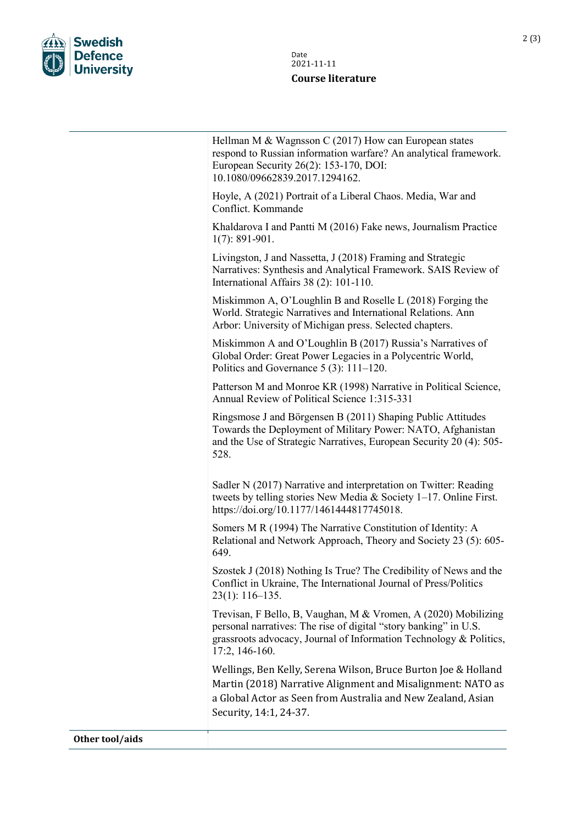

| Date<br>2021-11-11 |
|--------------------|
| Course literature  |

|                 | Hellman M & Wagnsson C $(2017)$ How can European states<br>respond to Russian information warfare? An analytical framework.<br>European Security 26(2): 153-170, DOI:<br>10.1080/09662839.2017.1294162.                      |
|-----------------|------------------------------------------------------------------------------------------------------------------------------------------------------------------------------------------------------------------------------|
|                 | Hoyle, A (2021) Portrait of a Liberal Chaos. Media, War and<br>Conflict. Kommande                                                                                                                                            |
|                 | Khaldarova I and Pantti M (2016) Fake news, Journalism Practice<br>$1(7): 891-901.$                                                                                                                                          |
|                 | Livingston, J and Nassetta, J (2018) Framing and Strategic<br>Narratives: Synthesis and Analytical Framework. SAIS Review of<br>International Affairs 38 (2): 101-110.                                                       |
|                 | Miskimmon A, O'Loughlin B and Roselle L (2018) Forging the<br>World. Strategic Narratives and International Relations. Ann<br>Arbor: University of Michigan press. Selected chapters.                                        |
|                 | Miskimmon A and O'Loughlin B (2017) Russia's Narratives of<br>Global Order: Great Power Legacies in a Polycentric World,<br>Politics and Governance $5(3)$ : 111–120.                                                        |
|                 | Patterson M and Monroe KR (1998) Narrative in Political Science,<br>Annual Review of Political Science 1:315-331                                                                                                             |
|                 | Ringsmose J and Börgensen B (2011) Shaping Public Attitudes<br>Towards the Deployment of Military Power: NATO, Afghanistan<br>and the Use of Strategic Narratives, European Security 20 (4): 505-<br>528.                    |
|                 | Sadler N (2017) Narrative and interpretation on Twitter: Reading<br>tweets by telling stories New Media & Society 1-17. Online First.<br>https://doi.org/10.1177/1461444817745018.                                           |
|                 | Somers M R (1994) The Narrative Constitution of Identity: A<br>Relational and Network Approach, Theory and Society 23 (5): 605-<br>649.                                                                                      |
|                 | Szostek J (2018) Nothing Is True? The Credibility of News and the<br>Conflict in Ukraine, The International Journal of Press/Politics<br>$23(1): 116-135.$                                                                   |
|                 | Trevisan, F Bello, B, Vaughan, M & Vromen, A (2020) Mobilizing<br>personal narratives: The rise of digital "story banking" in U.S.<br>grassroots advocacy, Journal of Information Technology & Politics,<br>$17:2, 146-160.$ |
|                 | Wellings, Ben Kelly, Serena Wilson, Bruce Burton Joe & Holland<br>Martin (2018) Narrative Alignment and Misalignment: NATO as<br>a Global Actor as Seen from Australia and New Zealand, Asian<br>Security, 14:1, 24-37.      |
| Other tool/aids |                                                                                                                                                                                                                              |